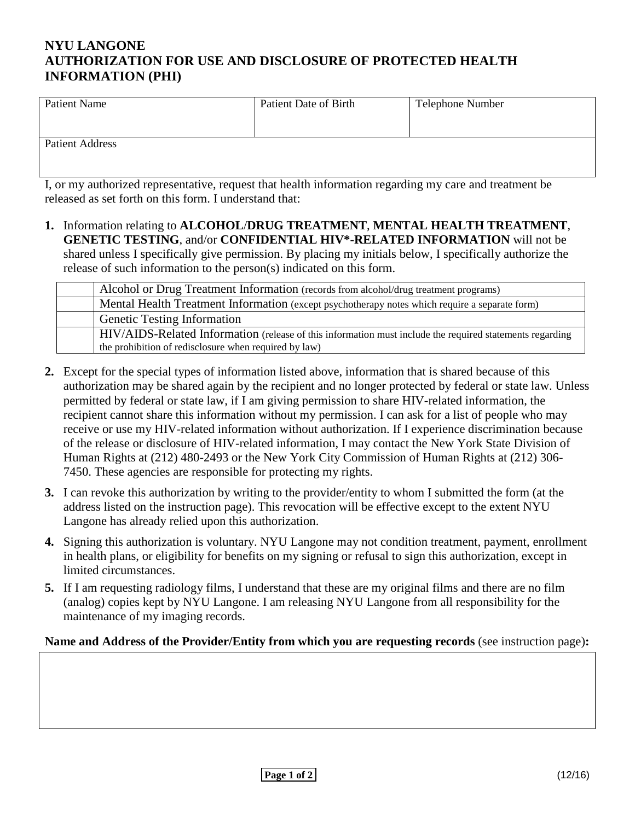## **NYU LANGONE AUTHORIZATION FOR USE AND DISCLOSURE OF PROTECTED HEALTH INFORMATION (PHI)**

| Patient Name           | Patient Date of Birth | <b>Telephone Number</b> |
|------------------------|-----------------------|-------------------------|
| <b>Patient Address</b> |                       |                         |

I, or my authorized representative, request that health information regarding my care and treatment be released as set forth on this form. I understand that:

**1.** Information relating to **ALCOHOL**/**DRUG TREATMENT**, **MENTAL HEALTH TREATMENT**, **GENETIC TESTING**, and/or **CONFIDENTIAL HIV\*-RELATED INFORMATION** will not be shared unless I specifically give permission. By placing my initials below, I specifically authorize the release of such information to the person(s) indicated on this form.

| Alcohol or Drug Treatment Information (records from alcohol/drug treatment programs)                            |
|-----------------------------------------------------------------------------------------------------------------|
| Mental Health Treatment Information (except psychotherapy notes which require a separate form)                  |
| <b>Genetic Testing Information</b>                                                                              |
| <b>HIV/AIDS-Related Information</b> (release of this information must include the required statements regarding |
| the prohibition of redisclosure when required by law)                                                           |

- **2.** Except for the special types of information listed above, information that is shared because of this authorization may be shared again by the recipient and no longer protected by federal or state law. Unless permitted by federal or state law, if I am giving permission to share HIV-related information, the recipient cannot share this information without my permission. I can ask for a list of people who may receive or use my HIV-related information without authorization. If I experience discrimination because of the release or disclosure of HIV-related information, I may contact the New York State Division of Human Rights at (212) 480-2493 or the New York City Commission of Human Rights at (212) 306- 7450. These agencies are responsible for protecting my rights.
- **3.** I can revoke this authorization by writing to the provider/entity to whom I submitted the form (at the address listed on the instruction page). This revocation will be effective except to the extent NYU Langone has already relied upon this authorization.
- **4.** Signing this authorization is voluntary. NYU Langone may not condition treatment, payment, enrollment in health plans, or eligibility for benefits on my signing or refusal to sign this authorization, except in limited circumstances.
- **5.** If I am requesting radiology films, I understand that these are my original films and there are no film (analog) copies kept by NYU Langone. I am releasing NYU Langone from all responsibility for the maintenance of my imaging records.

## **Name and Address of the Provider/Entity from which you are requesting records** (see instruction page)**:**